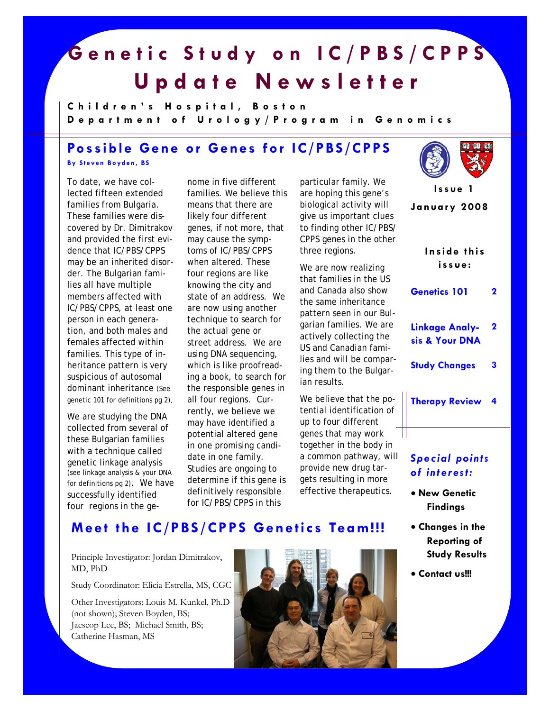## **Genetic Study on IC/PBS/CPPS Update Newsletter**

**Children's Hospital, Boston Department of Urolog y/Program in Genomics** 

## **Possible Gene or Genes for IC/PBS/CPPS**

**By Steven Boyden, BS** 

To date, we have collected fifteen extended families from Bulgaria. These families were discovered by Dr. Dimitrakov and provided the first evidence that IC/PBS/CPPS may be an inherited disorder. The Bulgarian families all have multiple members affected with IC/PBS/CPPS, at least one person in each generation, and both males and females affected within families. This type of inheritance pattern is very suspicious of autosomal dominant inheritance (See genetic 101 for definitions pg 2).

We are studying the DNA collected from several of these Bulgarian families with a technique called genetic linkage analysis (see linkage analysis & your DNA for definitions pg 2). We have successfully identified four regions in the genome in five different families. We believe this means that there are likely four different genes, if not more, that may cause the symptoms of IC/PBS/CPPS when altered. These four regions are like knowing the city and state of an address. We are now using another technique to search for the actual gene or street address. We are using DNA sequencing, which is like proofreading a book, to search for the responsible genes in all four regions. Currently, we believe we may have identified a potential altered gene in one promising candidate in one family. Studies are ongoing to determine if this gene is definitively responsible for IC/PBS/CPPS in this

particular family. We are hoping this gene's biological activity will give us important clues to finding other IC/PBS/ CPPS genes in the other three regions.

We are now realizing that families in the US and Canada also show the same inheritance pattern seen in our Bulgarian families. We are actively collecting the US and Canadian families and will be comparing them to the Bulgarian results.

We believe that the potential identification of up to four different genes that may work together in the body in a common pathway, will provide new drug targets resulting in more effective therapeutics.



**January 2008 Issue 1** 

> **Inside this issue:**

| Genetics 101 |  |  |
|--------------|--|--|
|--------------|--|--|

- **Linkage Analysis & Your DNA 2**
- **Study Changes 3**
- **Therapy Review 4**

#### *Special points of interest:*

- **New Genetic Findings**
- **Changes in the Reporting of Study Results**
- **Contact us!!!**

## **Meet the IC/PBS/CPPS Genetics Team!!!**

Principle Investigator: Jordan Dimitrakov, MD, PhD

Study Coordinator: Elicia Estrella, MS, CGC

Other Investigators: Louis M. Kunkel, Ph.D (not shown); Steven Boyden, BS; Jaeseop Lee, BS; Michael Smith, BS; Catherine Hasman, MS

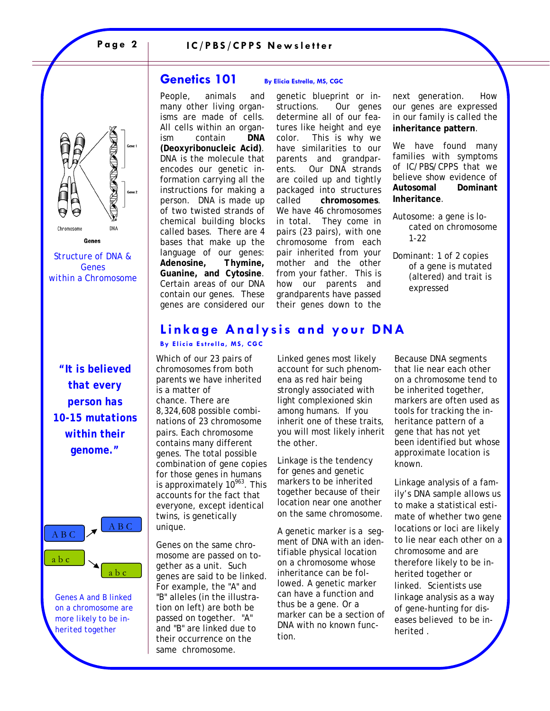# MANATAM **DNA** Chromosome

*Structure of DNA & Genes within a Chromosome* 

Genes

*"It is believed that every person has 10-15 mutations within their genome."* 



*Genes A and B linked on a chromosome are more likely to be inherited together* 

#### **Genetics 101** By Elicia Estrella, MS, CGC

People, animals and many other living organisms are made of cells. All cells within an organism contain **DNA (***D***eoxyribo***n***ucleic** *A***cid)**. DNA is the molecule that encodes our genetic information carrying all the instructions for making a person. DNA is made up of two twisted strands of chemical building blocks called bases. There are 4 bases that make up the language of our genes: *A***denosine,** *T***hymine,**  *G***uanine, and** *C***ytosine**. Certain areas of our DNA contain our genes. These genes are considered our

genetic blueprint or instructions. Our genes determine all of our features like height and eye color. This is why we have similarities to our parents and grandparents. Our DNA strands are coiled up and tightly packaged into structures called **chromosomes**. We have 46 chromosomes in total. They come in pairs (23 pairs), with one chromosome from each pair inherited from your mother and the other from your father. This is how our parents and grandparents have passed their genes down to the

next generation. How our genes are expressed in our family is called the **inheritance pattern**.

We have found many families with symptoms of IC/PBS/CPPS that we believe show evidence of **Autosomal Dominant Inheritance**.

- Autosome: a gene is located on chromosome 1-22
- Dominant: 1 of 2 copies of a gene is mutated (altered) and trait is expressed

## **Linkage Analysis and your DNA**

**By Elicia Estrella, MS, CGC** 

Which of our 23 pairs of chromosomes from both parents we have inherited is a matter of chance. There are 8,324,608 possible combinations of 23 chromosome pairs. Each chromosome contains many different genes. The total possible combination of gene copies for those genes in humans is approximately  $10^{963}$ . This accounts for the fact that everyone, except identical twins, is genetically unique.

Genes on the same chromosome are passed on together as a unit. Such genes are said to be linked. For example, the "A" and "B" alleles (in the illustration on left) are both be passed on together. "A" and "B" are linked due to their occurrence on the same chromosome.

Linked genes most likely account for such phenomena as red hair being strongly associated with light complexioned skin among humans. If you inherit one of these traits, you will most likely inherit the other.

Linkage is the tendency for genes and genetic markers to be inherited together because of their location near one another on the same chromosome.

A genetic marker is a segment of DNA with an identifiable physical location on a chromosome whose inheritance can be followed. A genetic marker can have a function and thus be a gene. Or a marker can be a section of DNA with no known function.

Because DNA segments that lie near each other on a chromosome tend to be inherited together, markers are often used as tools for tracking the inheritance pattern of a gene that has not yet been identified but whose approximate location is known.

Linkage analysis of a family's DNA sample allows us to make a statistical estimate of whether two gene locations or loci are likely to lie near each other on a chromosome and are therefore likely to be inherited together or linked. Scientists use linkage analysis as a way of gene-hunting for diseases believed to be inherited .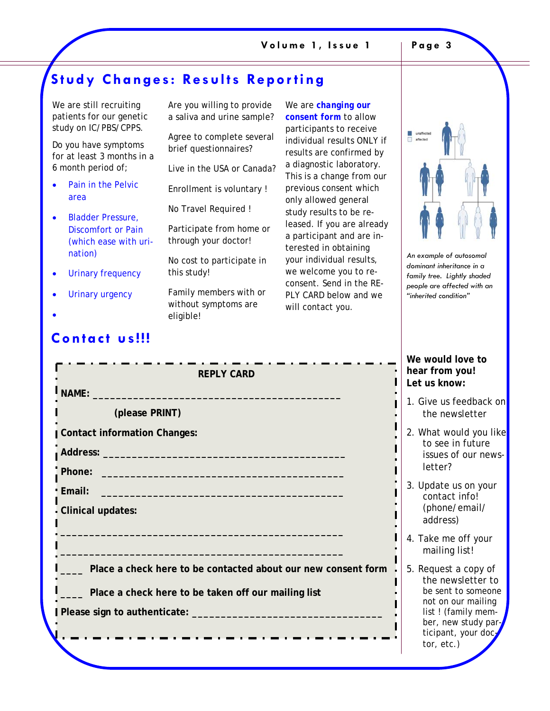## **Study Changes: Results Reporting**

| We are still recruiting<br>patients for our genetic<br>study on IC/PBS/CPPS. | Are you willing to provide<br>a saliva and urine sample?    |  |
|------------------------------------------------------------------------------|-------------------------------------------------------------|--|
| Do you have symptoms<br>for at least 3 months in a                           | Agree to complete several<br>brief questionnaires?          |  |
| 6 month period of;                                                           | Live in the USA or Canada?                                  |  |
| Pain in the Pelvic<br>area                                                   | Enrollment is voluntary!                                    |  |
|                                                                              | No Travel Required!                                         |  |
| <b>Bladder Pressure,</b><br>Discomfort or Pain<br>(which ease with uri-      | Participate from home or<br>through your doctor!            |  |
| nation)                                                                      | No cost to participate in                                   |  |
| <b>Urinary frequency</b>                                                     | this study!                                                 |  |
| Urinary urgency                                                              | Family members with or<br>without symptoms are<br>eligible! |  |

We are *changing our consent form* to allow participants to receive individual results ONLY if results are confirmed by a diagnostic laboratory. This is a change from our previous consent which only allowed general study results to be released. If you are already a participant and are interested in obtaining your individual results, we welcome you to reconsent. Send in the RE-PLY CARD below and we will contact you.



*An example of autosomal dominant inheritance in a family tree. Lightly shaded people are affected with an "inherited condition"* 

#### **We would love to hear from you! Let us know:**

- 1. Give us feedback on the newsletter
- 2. What would you like to see in future issues of our newsletter?
- 3. Update us on your contact info! (phone/email/ address)
- 4. Take me off your mailing list!
- 5. Request a copy of the newsletter to be sent to someone not on our mailing list ! (family member, new study participant, your doc tor, etc.)

## **Contact us!!!**

| <b>REPLY CARD</b>                                                                                                                                                                                                                                     |  |
|-------------------------------------------------------------------------------------------------------------------------------------------------------------------------------------------------------------------------------------------------------|--|
| NAME: NAME:                                                                                                                                                                                                                                           |  |
| (please PRINT)                                                                                                                                                                                                                                        |  |
| <b>Contact information Changes:</b>                                                                                                                                                                                                                   |  |
|                                                                                                                                                                                                                                                       |  |
|                                                                                                                                                                                                                                                       |  |
| <b>Email:</b><br><u> 1989 - Johann John Harry Harry Harry Harry Harry Harry Harry Harry Harry Harry Harry Harry Harry Harry Harry Harry Harry Harry Harry Harry Harry Harry Harry Harry Harry Harry Harry Harry Harry Harry Harry Harry Harry Har</u> |  |
| <b>Clinical updates:</b>                                                                                                                                                                                                                              |  |
|                                                                                                                                                                                                                                                       |  |
|                                                                                                                                                                                                                                                       |  |
| Place a check here to be contacted about our new consent form                                                                                                                                                                                         |  |
| Place a check here to be taken off our mailing list                                                                                                                                                                                                   |  |
|                                                                                                                                                                                                                                                       |  |
|                                                                                                                                                                                                                                                       |  |
|                                                                                                                                                                                                                                                       |  |